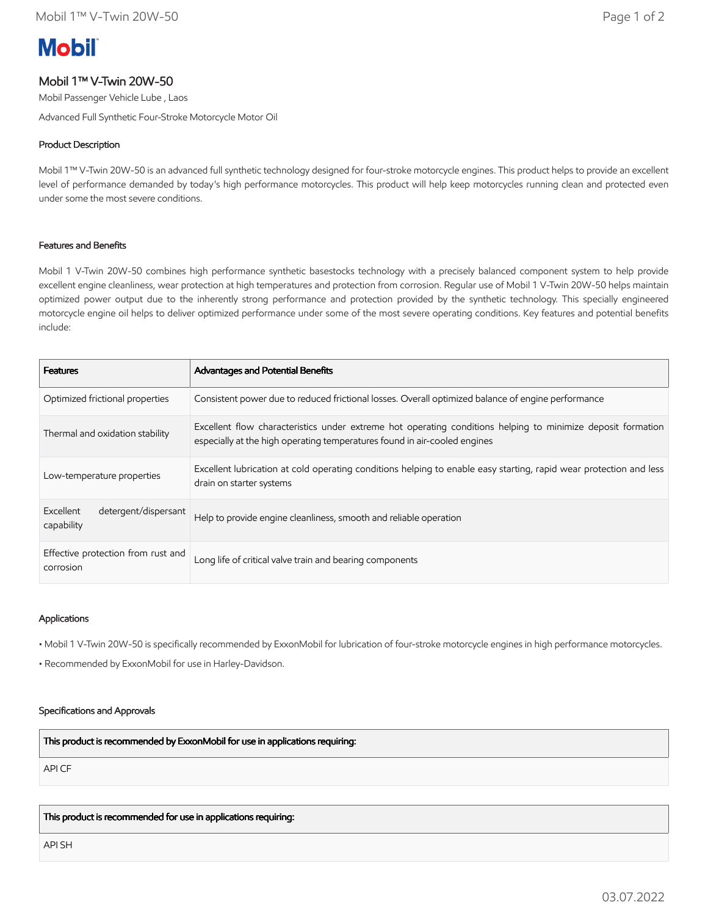# **Mobil**

# Mobil 1™ V-Twin 20W-50

Mobil Passenger Vehicle Lube , Laos

Advanced Full Synthetic Four-Stroke Motorcycle Motor Oil

## Product Description

Mobil 1™ V-Twin 20W-50 is an advanced full synthetic technology designed for four-stroke motorcycle engines. This product helps to provide an excellent level of performance demanded by today's high performance motorcycles. This product will help keep motorcycles running clean and protected even under some the most severe conditions.

# Features and Benefits

Mobil 1 V-Twin 20W-50 combines high performance synthetic basestocks technology with a precisely balanced component system to help provide excellent engine cleanliness, wear protection at high temperatures and protection from corrosion. Regular use of Mobil 1 V-Twin 20W-50 helps maintain optimized power output due to the inherently strong performance and protection provided by the synthetic technology. This specially engineered motorcycle engine oil helps to deliver optimized performance under some of the most severe operating conditions. Key features and potential benefits include:

| <b>Features</b>                                 | <b>Advantages and Potential Benefits</b>                                                                                                                                                 |
|-------------------------------------------------|------------------------------------------------------------------------------------------------------------------------------------------------------------------------------------------|
| Optimized frictional properties                 | Consistent power due to reduced frictional losses. Overall optimized balance of engine performance                                                                                       |
| Thermal and oxidation stability                 | Excellent flow characteristics under extreme hot operating conditions helping to minimize deposit formation<br>especially at the high operating temperatures found in air-cooled engines |
| Low-temperature properties                      | Excellent lubrication at cold operating conditions helping to enable easy starting, rapid wear protection and less<br>drain on starter systems                                           |
| detergent/dispersant<br>Excellent<br>capability | Help to provide engine cleanliness, smooth and reliable operation                                                                                                                        |
| Effective protection from rust and<br>corrosion | Long life of critical valve train and bearing components                                                                                                                                 |

### Applications

• Mobil 1 V-Twin 20W-50 is specifically recommended by ExxonMobil for lubrication of four-stroke motorcycle engines in high performance motorcycles.

• Recommended by ExxonMobil for use in Harley-Davidson.

### Specifications and Approvals

This product is recommended by ExxonMobil for use in applications requiring:

API CF

This product is recommended for use in applications requiring:

API SH